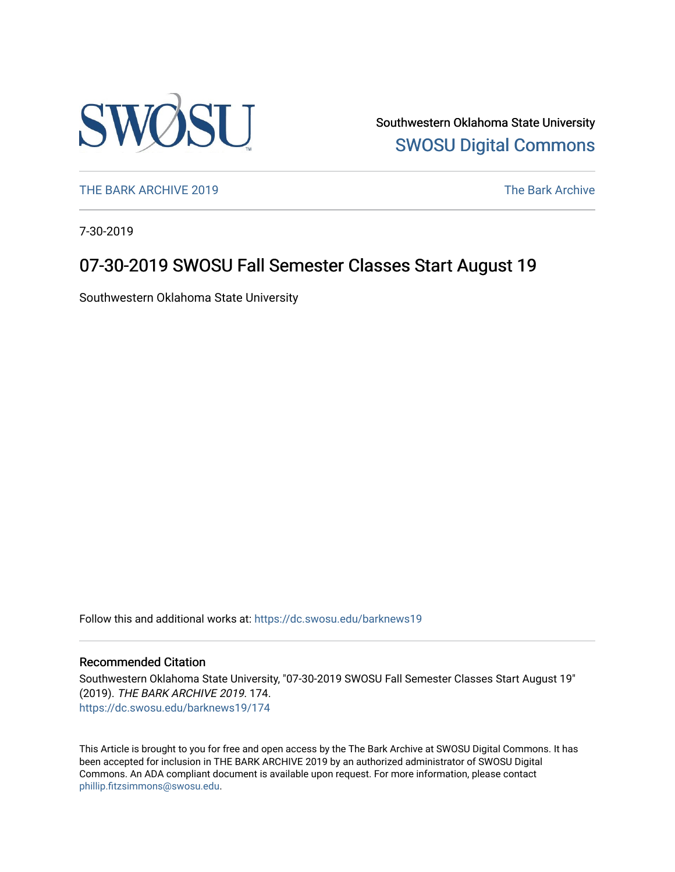

Southwestern Oklahoma State University [SWOSU Digital Commons](https://dc.swosu.edu/) 

[THE BARK ARCHIVE 2019](https://dc.swosu.edu/barknews19) The Bark Archive

7-30-2019

# 07-30-2019 SWOSU Fall Semester Classes Start August 19

Southwestern Oklahoma State University

Follow this and additional works at: [https://dc.swosu.edu/barknews19](https://dc.swosu.edu/barknews19?utm_source=dc.swosu.edu%2Fbarknews19%2F174&utm_medium=PDF&utm_campaign=PDFCoverPages)

#### Recommended Citation

Southwestern Oklahoma State University, "07-30-2019 SWOSU Fall Semester Classes Start August 19" (2019). THE BARK ARCHIVE 2019. 174. [https://dc.swosu.edu/barknews19/174](https://dc.swosu.edu/barknews19/174?utm_source=dc.swosu.edu%2Fbarknews19%2F174&utm_medium=PDF&utm_campaign=PDFCoverPages)

This Article is brought to you for free and open access by the The Bark Archive at SWOSU Digital Commons. It has been accepted for inclusion in THE BARK ARCHIVE 2019 by an authorized administrator of SWOSU Digital Commons. An ADA compliant document is available upon request. For more information, please contact [phillip.fitzsimmons@swosu.edu](mailto:phillip.fitzsimmons@swosu.edu).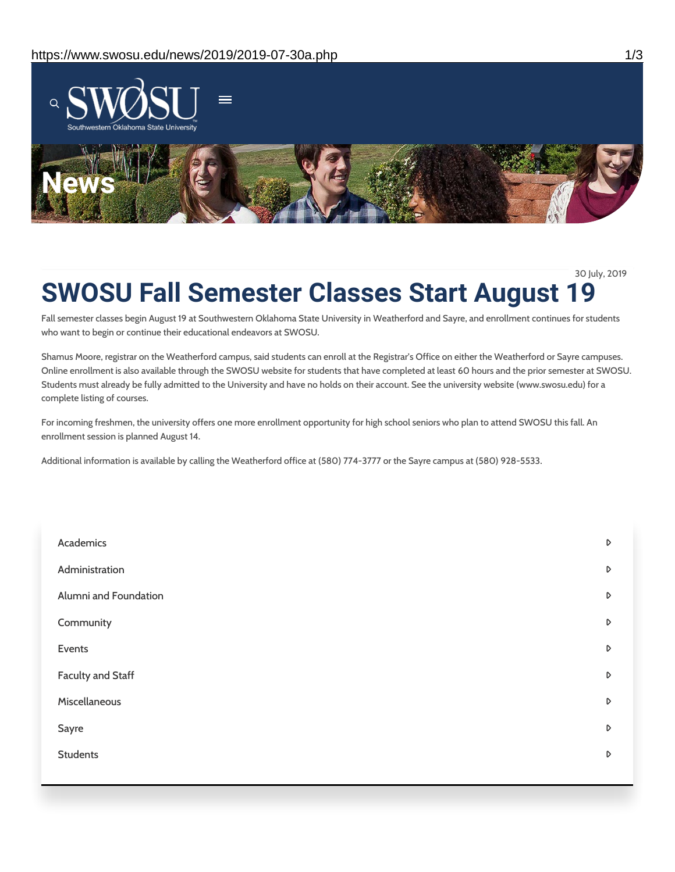

30 July, 2019

# **SWOSU Fall Semester Classes Start August 19**

Fall semester classes begin August 19 at Southwestern Oklahoma State University in Weatherford and Sayre, and enrollment continues for students who want to begin or continue their educational endeavors at SWOSU.

Shamus Moore, registrar on the Weatherford campus, said students can enroll at the Registrar's Office on either the Weatherford or Sayre campuses. Online enrollment is also available through the SWOSU website for students that have completed at least 60 hours and the prior semester at SWOSU. Students must already be fully admitted to the University and have no holds on their account. See the university website (www.swosu.edu) for a complete listing of courses.

For incoming freshmen, the university offers one more enrollment opportunity for high school seniors who plan to attend SWOSU this fall. An enrollment session is planned August 14.

Additional information is available by calling the Weatherford office at (580) 774-3777 or the Sayre campus at (580) 928-5533.

| Academics             | D |
|-----------------------|---|
| Administration        | D |
| Alumni and Foundation | D |
| Community             | D |
| Events                | D |
| Faculty and Staff     | D |
| Miscellaneous         | D |
| Sayre                 | D |
| <b>Students</b>       | D |
|                       |   |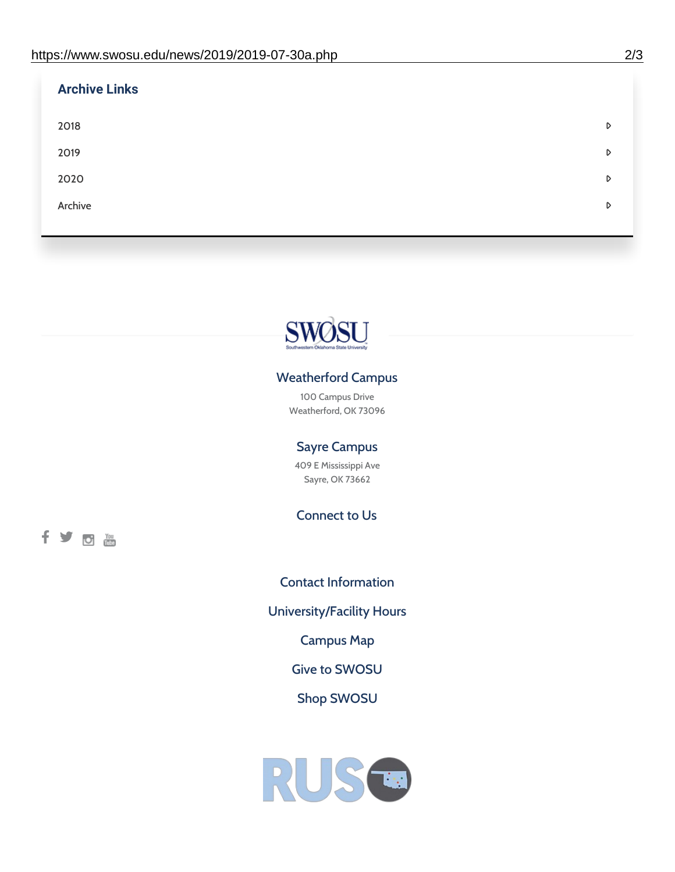fyom

| <b>Archive Links</b> |   |
|----------------------|---|
| 2018                 | D |
| 2019                 | D |
| 2020                 | D |
| Archive              | D |
|                      |   |



## Weatherford Campus

100 Campus Drive Weatherford, OK 73096

### Sayre Campus

409 E Mississippi Ave Sayre, OK 73662

Connect to Us

Contact [Information](https://www.swosu.edu/about/contact.php) [University/Facility](https://www.swosu.edu/about/operating-hours.php) Hours [Campus](https://map.concept3d.com/?id=768#!ct/10964,10214,10213,10212,10205,10204,10203,10202,10136,10129,10128,0,31226,10130,10201,10641,0) Map Give to [SWOSU](https://standingfirmly.com/donate) Shop [SWOSU](https://shopswosu.merchorders.com/)